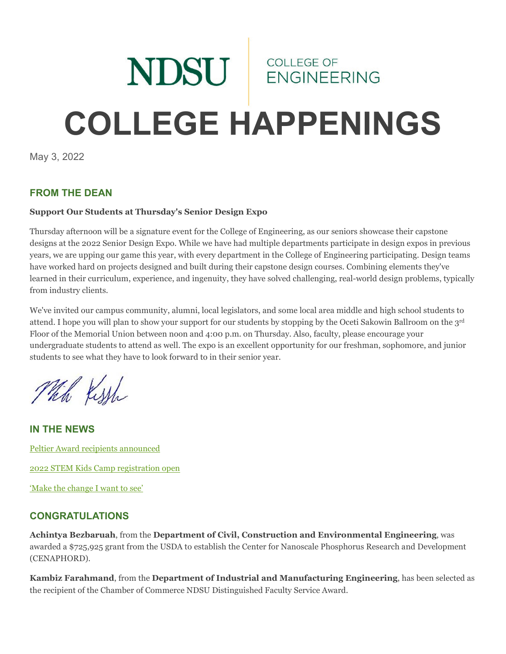# NDSU ENGINEERING **COLLEGE HAPPENINGS**

May 3, 2022

## **FROM THE DEAN**

#### **Support Our Students at Thursday's Senior Design Expo**

Thursday afternoon will be a signature event for the College of Engineering, as our seniors showcase their capstone designs at the 2022 Senior Design Expo. While we have had multiple departments participate in design expos in previous years, we are upping our game this year, with every department in the College of Engineering participating. Design teams have worked hard on projects designed and built during their capstone design courses. Combining elements they've learned in their curriculum, experience, and ingenuity, they have solved challenging, real-world design problems, typically from industry clients.

We've invited our campus community, alumni, local legislators, and some local area middle and high school students to attend. I hope you will plan to show your support for our students by stopping by the Oceti Sakowin Ballroom on the 3rd Floor of the Memorial Union between noon and 4:00 p.m. on Thursday. Also, faculty, please encourage your undergraduate students to attend as well. The expo is an excellent opportunity for our freshman, sophomore, and junior students to see what they have to look forward to in their senior year.

Mich Kissh

**IN THE NEWS** [Peltier Award recipients announced](https://www.ndsu.edu/news/view/detail/68236/) [2022 STEM Kids Camp registration open](https://www.ndsu.edu/news/view/detail/68238/) ['Make the change I want to see'](https://www.ndsu.edu/experience/environmental-engineering)

## **CONGRATULATIONS**

**Achintya Bezbaruah**, from the **Department of Civil, Construction and Environmental Engineering**, was awarded a \$725,925 grant from the USDA to establish the Center for Nanoscale Phosphorus Research and Development (CENAPHORD).

**Kambiz Farahmand**, from the **Department of Industrial and Manufacturing Engineering**, has been selected as the recipient of the Chamber of Commerce NDSU Distinguished Faculty Service Award.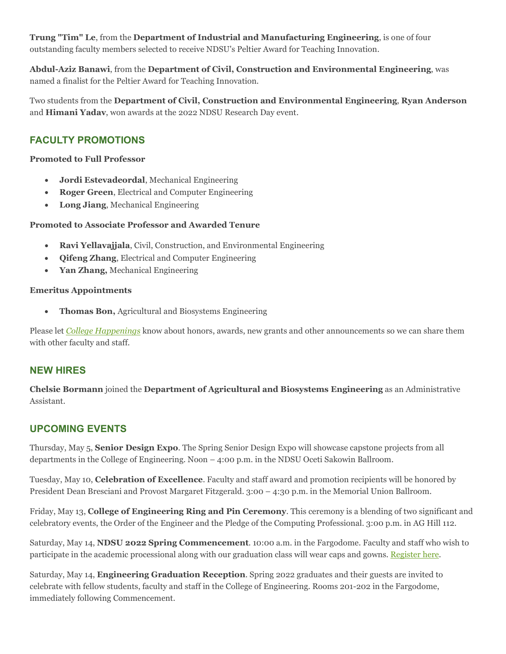**Trung "Tim" Le**, from the **Department of Industrial and Manufacturing Engineering**, is one of four outstanding faculty members selected to receive NDSU's Peltier Award for Teaching Innovation.

**Abdul-Aziz Banawi**, from the **Department of Civil, Construction and Environmental Engineering**, was named a finalist for the Peltier Award for Teaching Innovation.

Two students from the **Department of Civil, Construction and Environmental Engineering**, **Ryan Anderson** and **Himani Yadav**, won awards at the 2022 NDSU Research Day event.

# **FACULTY PROMOTIONS**

#### **Promoted to Full Professor**

- **Jordi Estevadeordal**, Mechanical Engineering
- **Roger Green**, Electrical and Computer Engineering
- **Long Jiang**, Mechanical Engineering

#### **Promoted to Associate Professor and Awarded Tenure**

- **Ravi Yellavajjala**, Civil, Construction, and Environmental Engineering
- **Qifeng Zhang**, Electrical and Computer Engineering
- **Yan Zhang,** Mechanical Engineering

#### **Emeritus Appointments**

• **Thomas Bon,** Agricultural and Biosystems Engineering

Please let *[College Happenings](mailto:kyle.bosch@ndsu.edu)* know about honors, awards, new grants and other announcements so we can share them with other faculty and staff.

## **NEW HIRES**

**Chelsie Bormann** joined the **Department of Agricultural and Biosystems Engineering** as an Administrative Assistant.

## **UPCOMING EVENTS**

Thursday, May 5, **Senior Design Expo**. The Spring Senior Design Expo will showcase capstone projects from all departments in the College of Engineering. Noon – 4:00 p.m. in the NDSU Oceti Sakowin Ballroom.

Tuesday, May 10, **Celebration of Excellence**. Faculty and staff award and promotion recipients will be honored by President Dean Bresciani and Provost Margaret Fitzgerald. 3:00 – 4:30 p.m. in the Memorial Union Ballroom.

Friday, May 13, **College of Engineering Ring and Pin Ceremony**. This ceremony is a blending of two significant and celebratory events, the Order of the Engineer and the Pledge of the Computing Professional. 3:00 p.m. in AG Hill 112.

Saturday, May 14, **NDSU 2022 Spring Commencement**. 10:00 a.m. in the Fargodome. Faculty and staff who wish to participate in the academic processional along with our graduation class will wear caps and gowns. [Register here.](https://www.ndsu.edu/commencement/facstaff/)

Saturday, May 14, **Engineering Graduation Reception**. Spring 2022 graduates and their guests are invited to celebrate with fellow students, faculty and staff in the College of Engineering. Rooms 201-202 in the Fargodome, immediately following Commencement.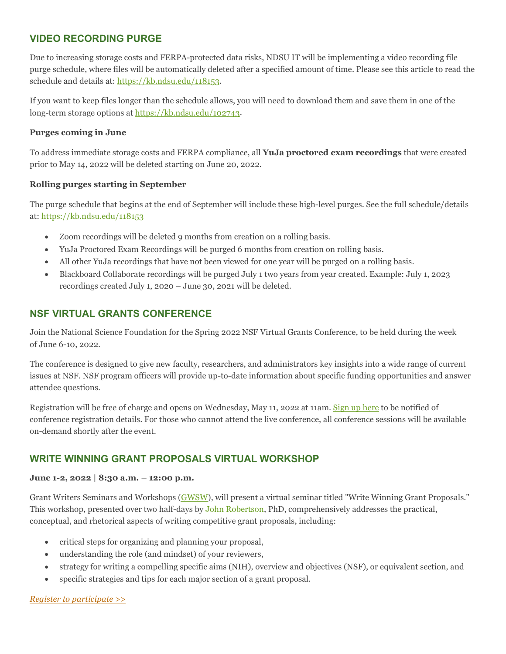## **VIDEO RECORDING PURGE**

Due to increasing storage costs and FERPA-protected data risks, NDSU IT will be implementing a video recording file purge schedule, where files will be automatically deleted after a specified amount of time. Please see this article to read the schedule and details at: [https://kb.ndsu.edu/118153.](https://kb.ndsu.edu/118153)

If you want to keep files longer than the schedule allows, you will need to download them and save them in one of the long-term storage options at [https://kb.ndsu.edu/102743.](https://kb.ndsu.edu/102743)

#### **Purges coming in June**

To address immediate storage costs and FERPA compliance, all **YuJa proctored exam recordings** that were created prior to May 14, 2022 will be deleted starting on June 20, 2022.

#### **Rolling purges starting in September**

The purge schedule that begins at the end of September will include these high-level purges. See the full schedule/details at: <https://kb.ndsu.edu/118153>

- Zoom recordings will be deleted 9 months from creation on a rolling basis.
- YuJa Proctored Exam Recordings will be purged 6 months from creation on rolling basis.
- All other YuJa recordings that have not been viewed for one year will be purged on a rolling basis.
- Blackboard Collaborate recordings will be purged July 1 two years from year created. Example: July 1, 2023 recordings created July 1, 2020 – June 30, 2021 will be deleted.

## **NSF VIRTUAL GRANTS CONFERENCE**

Join the National Science Foundation for the Spring 2022 NSF Virtual Grants Conference, to be held during the week of June 6-10, 2022.

The conference is designed to give new faculty, researchers, and administrators key insights into a wide range of current issues at NSF. NSF program officers will provide up-to-date information about specific funding opportunities and answer attendee questions.

Registration will be free of charge and opens on Wednesday, May 11, 2022 at 11am. [Sign up here](https://ndsu.us19.list-manage.com/track/click?u=6c5d98a898bad27df38e6394a&id=c07f719bb0&e=ca813aff99) to be notified of conference registration details. For those who cannot attend the live conference, all conference sessions will be available on-demand shortly after the event.

## **WRITE WINNING GRANT PROPOSALS VIRTUAL WORKSHOP**

#### **June 1-2, 2022 | 8:30 a.m. – 12:00 p.m.**

Grant Writers Seminars and Workshops [\(GWSW\)](https://ndsu.us19.list-manage.com/track/click?u=6c5d98a898bad27df38e6394a&id=bfe115a109&e=ca813aff99), will present a virtual seminar titled "Write Winning Grant Proposals." This workshop, presented over two half-days by [John Robertson,](https://ndsu.us19.list-manage.com/track/click?u=6c5d98a898bad27df38e6394a&id=4079d57da6&e=ca813aff99) PhD, comprehensively addresses the practical, conceptual, and rhetorical aspects of writing competitive grant proposals, including:

- critical steps for organizing and planning your proposal,
- understanding the role (and mindset) of your reviewers,
- strategy for writing a compelling specific aims (NIH), overview and objectives (NSF), or equivalent section, and
- specific strategies and tips for each major section of a grant proposal.

#### *[Register to participate >>](https://ndsu.us19.list-manage.com/track/click?u=6c5d98a898bad27df38e6394a&id=fff2e2345f&e=ca813aff99)*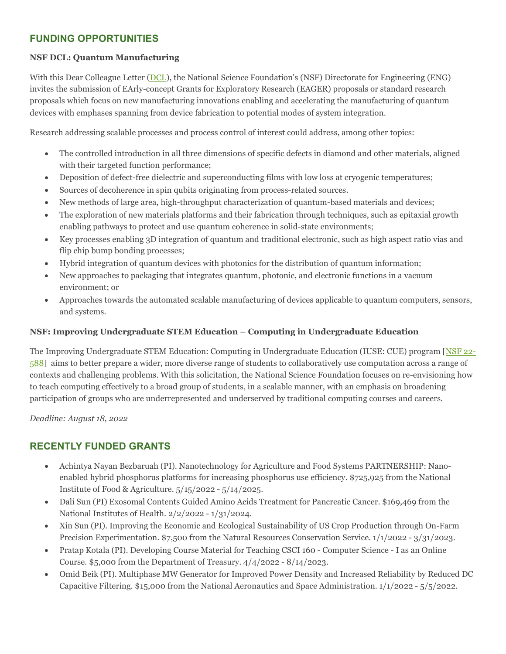## **FUNDING OPPORTUNITIES**

#### **NSF DCL: Quantum Manufacturing**

With this Dear Colleague Letter [\(DCL\)](https://ndsu.us19.list-manage.com/track/click?u=6c5d98a898bad27df38e6394a&id=b20c504f3a&e=ca813aff99), the National Science Foundation's (NSF) Directorate for Engineering (ENG) invites the submission of EArly-concept Grants for Exploratory Research (EAGER) proposals or standard research proposals which focus on new manufacturing innovations enabling and accelerating the manufacturing of quantum devices with emphases spanning from device fabrication to potential modes of system integration.

Research addressing scalable processes and process control of interest could address, among other topics:

- The controlled introduction in all three dimensions of specific defects in diamond and other materials, aligned with their targeted function performance;
- Deposition of defect-free dielectric and superconducting films with low loss at cryogenic temperatures;
- Sources of decoherence in spin qubits originating from process-related sources.
- New methods of large area, high-throughput characterization of quantum-based materials and devices;
- The exploration of new materials platforms and their fabrication through techniques, such as epitaxial growth enabling pathways to protect and use quantum coherence in solid-state environments;
- Key processes enabling 3D integration of quantum and traditional electronic, such as high aspect ratio vias and flip chip bump bonding processes;
- Hybrid integration of quantum devices with photonics for the distribution of quantum information;
- New approaches to packaging that integrates quantum, photonic, and electronic functions in a vacuum environment; or
- Approaches towards the automated scalable manufacturing of devices applicable to quantum computers, sensors, and systems.

#### **NSF: Improving Undergraduate STEM Education – Computing in Undergraduate Education**

The Improving Undergraduate STEM Education: Computing in Undergraduate Education (IUSE: CUE) program [\[NSF 22-](https://ndsu.us19.list-manage.com/track/click?u=6c5d98a898bad27df38e6394a&id=ec0b920e8e&e=ca813aff99) [588\]](https://ndsu.us19.list-manage.com/track/click?u=6c5d98a898bad27df38e6394a&id=ec0b920e8e&e=ca813aff99) aims to better prepare a wider, more diverse range of students to collaboratively use computation across a range of contexts and challenging problems. With this solicitation, the National Science Foundation focuses on re-envisioning how to teach computing effectively to a broad group of students, in a scalable manner, with an emphasis on broadening participation of groups who are underrepresented and underserved by traditional computing courses and careers.

*Deadline: August 18, 2022*

## **RECENTLY FUNDED GRANTS**

- Achintya Nayan Bezbaruah (PI). Nanotechnology for Agriculture and Food Systems PARTNERSHIP: Nanoenabled hybrid phosphorus platforms for increasing phosphorus use efficiency. \$725,925 from the National Institute of Food & Agriculture. 5/15/2022 - 5/14/2025.
- Dali Sun (PI) Exosomal Contents Guided Amino Acids Treatment for Pancreatic Cancer. \$169,469 from the National Institutes of Health. 2/2/2022 - 1/31/2024.
- Xin Sun (PI). Improving the Economic and Ecological Sustainability of US Crop Production through On-Farm Precision Experimentation. \$7,500 from the Natural Resources Conservation Service. 1/1/2022 - 3/31/2023.
- Pratap Kotala (PI). Developing Course Material for Teaching CSCI 160 Computer Science I as an Online Course. \$5,000 from the Department of Treasury. 4/4/2022 - 8/14/2023.
- Omid Beik (PI). Multiphase MW Generator for Improved Power Density and Increased Reliability by Reduced DC Capacitive Filtering. \$15,000 from the National Aeronautics and Space Administration. 1/1/2022 - 5/5/2022.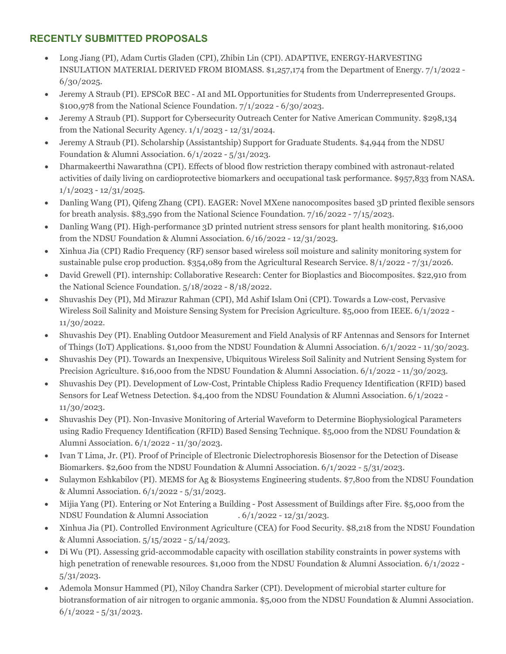# **RECENTLY SUBMITTED PROPOSALS**

- Long Jiang (PI), Adam Curtis Gladen (CPI), Zhibin Lin (CPI). ADAPTIVE, ENERGY-HARVESTING INSULATION MATERIAL DERIVED FROM BIOMASS. \$1,257,174 from the Department of Energy. 7/1/2022 - 6/30/2025.
- Jeremy A Straub (PI). EPSCoR BEC AI and ML Opportunities for Students from Underrepresented Groups. \$100,978 from the National Science Foundation. 7/1/2022 - 6/30/2023.
- Jeremy A Straub (PI). Support for Cybersecurity Outreach Center for Native American Community. \$298,134 from the National Security Agency. 1/1/2023 - 12/31/2024.
- Jeremy A Straub (PI). Scholarship (Assistantship) Support for Graduate Students. \$4,944 from the NDSU Foundation & Alumni Association. 6/1/2022 - 5/31/2023.
- Dharmakeerthi Nawarathna (CPI). Effects of blood flow restriction therapy combined with astronaut-related activities of daily living on cardioprotective biomarkers and occupational task performance. \$957,833 from NASA. 1/1/2023 - 12/31/2025.
- Danling Wang (PI), Qifeng Zhang (CPI). EAGER: Novel MXene nanocomposites based 3D printed flexible sensors for breath analysis. \$83,590 from the National Science Foundation. 7/16/2022 - 7/15/2023.
- Danling Wang (PI). High-performance 3D printed nutrient stress sensors for plant health monitoring. \$16,000 from the NDSU Foundation & Alumni Association. 6/16/2022 - 12/31/2023.
- Xinhua Jia (CPI) Radio Frequency (RF) sensor based wireless soil moisture and salinity monitoring system for sustainable pulse crop production. \$354,089 from the Agricultural Research Service. 8/1/2022 - 7/31/2026.
- David Grewell (PI). internship: Collaborative Research: Center for Bioplastics and Biocomposites. \$22,910 from the National Science Foundation. 5/18/2022 - 8/18/2022.
- Shuvashis Dey (PI), Md Mirazur Rahman (CPI), Md Ashif Islam Oni (CPI). Towards a Low-cost, Pervasive Wireless Soil Salinity and Moisture Sensing System for Precision Agriculture. \$5,000 from IEEE. 6/1/2022 - 11/30/2022.
- Shuvashis Dey (PI). Enabling Outdoor Measurement and Field Analysis of RF Antennas and Sensors for Internet of Things (IoT) Applications. \$1,000 from the NDSU Foundation & Alumni Association. 6/1/2022 - 11/30/2023.
- Shuvashis Dey (PI). Towards an Inexpensive, Ubiquitous Wireless Soil Salinity and Nutrient Sensing System for Precision Agriculture. \$16,000 from the NDSU Foundation & Alumni Association. 6/1/2022 - 11/30/2023.
- Shuvashis Dey (PI). Development of Low-Cost, Printable Chipless Radio Frequency Identification (RFID) based Sensors for Leaf Wetness Detection. \$4,400 from the NDSU Foundation & Alumni Association. 6/1/2022 - 11/30/2023.
- Shuvashis Dey (PI). Non-Invasive Monitoring of Arterial Waveform to Determine Biophysiological Parameters using Radio Frequency Identification (RFID) Based Sensing Technique. \$5,000 from the NDSU Foundation & Alumni Association. 6/1/2022 - 11/30/2023.
- Ivan T Lima, Jr. (PI). Proof of Principle of Electronic Dielectrophoresis Biosensor for the Detection of Disease Biomarkers. \$2,600 from the NDSU Foundation & Alumni Association. 6/1/2022 - 5/31/2023.
- Sulaymon Eshkabilov (PI). MEMS for Ag & Biosystems Engineering students. \$7,800 from the NDSU Foundation & Alumni Association. 6/1/2022 - 5/31/2023.
- Mijia Yang (PI). Entering or Not Entering a Building Post Assessment of Buildings after Fire. \$5,000 from the NDSU Foundation & Alumni Association . 6/1/2022 - 12/31/2023.
- Xinhua Jia (PI). Controlled Environment Agriculture (CEA) for Food Security. \$8,218 from the NDSU Foundation & Alumni Association. 5/15/2022 - 5/14/2023.
- Di Wu (PI). Assessing grid-accommodable capacity with oscillation stability constraints in power systems with high penetration of renewable resources. \$1,000 from the NDSU Foundation & Alumni Association. 6/1/2022 -5/31/2023.
- Ademola Monsur Hammed (PI), Niloy Chandra Sarker (CPI). Development of microbial starter culture for biotransformation of air nitrogen to organic ammonia. \$5,000 from the NDSU Foundation & Alumni Association.  $6/1/2022 - 5/31/2023$ .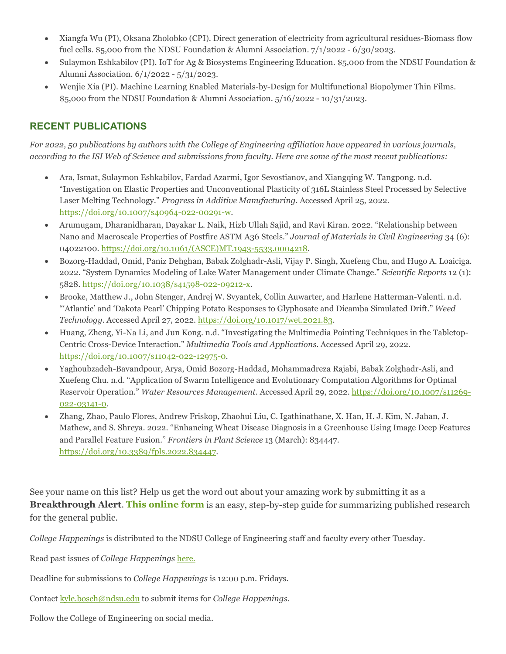- Xiangfa Wu (PI), Oksana Zholobko (CPI). Direct generation of electricity from agricultural residues-Biomass flow fuel cells. \$5,000 from the NDSU Foundation & Alumni Association. 7/1/2022 - 6/30/2023.
- Sulaymon Eshkabilov (PI). IoT for Ag & Biosystems Engineering Education. \$5,000 from the NDSU Foundation & Alumni Association. 6/1/2022 - 5/31/2023.
- Wenjie Xia (PI). Machine Learning Enabled Materials-by-Design for Multifunctional Biopolymer Thin Films. \$5,000 from the NDSU Foundation & Alumni Association. 5/16/2022 - 10/31/2023.

## **RECENT PUBLICATIONS**

*For 2022, 50 publications by authors with the College of Engineering affiliation have appeared in various journals, according to the ISI Web of Science and submissions from faculty. Here are some of the most recent publications:*

- Ara, Ismat, Sulaymon Eshkabilov, Fardad Azarmi, Igor Sevostianov, and Xiangqing W. Tangpong. n.d. "Investigation on Elastic Properties and Unconventional Plasticity of 316L Stainless Steel Processed by Selective Laser Melting Technology." *Progress in Additive Manufacturing*. Accessed April 25, 2022. [https://doi.org/10.1007/s40964-022-00291-w.](https://doi.org/10.1007/s40964-022-00291-w)
- Arumugam, Dharanidharan, Dayakar L. Naik, Hizb Ullah Sajid, and Ravi Kiran. 2022. "Relationship between Nano and Macroscale Properties of Postfire ASTM A36 Steels." *Journal of Materials in Civil Engineering* 34 (6): 04022100. [https://doi.org/10.1061/\(ASCE\)MT.1943-5533.0004218.](https://doi.org/10.1061/(ASCE)MT.1943-5533.0004218)
- Bozorg-Haddad, Omid, Paniz Dehghan, Babak Zolghadr-Asli, Vijay P. Singh, Xuefeng Chu, and Hugo A. Loaiciga. 2022. "System Dynamics Modeling of Lake Water Management under Climate Change." *Scientific Reports* 12 (1): 5828. [https://doi.org/10.1038/s41598-022-09212-x.](https://doi.org/10.1038/s41598-022-09212-x)
- Brooke, Matthew J., John Stenger, Andrej W. Svyantek, Collin Auwarter, and Harlene Hatterman-Valenti. n.d. "'Atlantic' and 'Dakota Pearl' Chipping Potato Responses to Glyphosate and Dicamba Simulated Drift." *Weed Technology*. Accessed April 27, 2022[. https://doi.org/10.1017/wet.2021.83.](https://doi.org/10.1017/wet.2021.83)
- Huang, Zheng, Yi-Na Li, and Jun Kong. n.d. "Investigating the Multimedia Pointing Techniques in the Tabletop-Centric Cross-Device Interaction." *Multimedia Tools and Applications*. Accessed April 29, 2022. [https://doi.org/10.1007/s11042-022-12975-0.](https://doi.org/10.1007/s11042-022-12975-0)
- Yaghoubzadeh-Bavandpour, Arya, Omid Bozorg-Haddad, Mohammadreza Rajabi, Babak Zolghadr-Asli, and Xuefeng Chu. n.d. "Application of Swarm Intelligence and Evolutionary Computation Algorithms for Optimal Reservoir Operation." *Water Resources Management*. Accessed April 29, 2022. [https://doi.org/10.1007/s11269-](https://doi.org/10.1007/s11269-022-03141-0) [022-03141-0.](https://doi.org/10.1007/s11269-022-03141-0)
- Zhang, Zhao, Paulo Flores, Andrew Friskop, Zhaohui Liu, C. Igathinathane, X. Han, H. J. Kim, N. Jahan, J. Mathew, and S. Shreya. 2022. "Enhancing Wheat Disease Diagnosis in a Greenhouse Using Image Deep Features and Parallel Feature Fusion." *Frontiers in Plant Science* 13 (March): 834447. [https://doi.org/10.3389/fpls.2022.834447.](https://doi.org/10.3389/fpls.2022.834447)

See your name on this list? Help us get the word out about your amazing work by submitting it as a **Breakthrough Alert**. **[This online form](https://www.ndsu.edu/coe/faculty_staff/breakthrough_alert/)** is an easy, step-by-step guide for summarizing published research for the general public.

*College Happenings* is distributed to the NDSU College of Engineering staff and faculty every other Tuesday.

Read past issues of *College Happenings* [here.](https://www.ndsu.edu/coe/faculty_staff/college_happenings/)

- Deadline for submissions to *College Happenings* is 12:00 p.m. Fridays.
- Contac[t kyle.bosch@ndsu.edu](mailto:kyle.bosch@ndsu.edu) to submit items for *College Happenings.*

Follow the College of Engineering on social media.